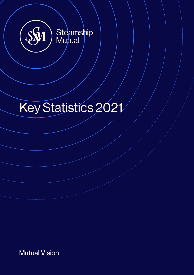

# Key Statistics 2021

**Mutual Vision**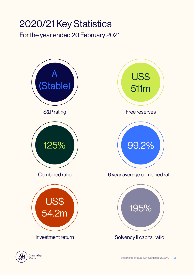### 2020/21 Key Statistics For the year ended 20 February 2021



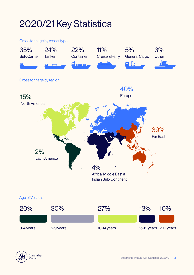## 2020/21 Key Statistics

#### Gross tonnage by vessel type



### Age of Vessels



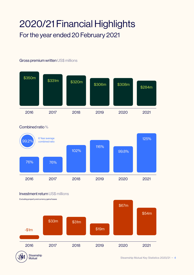### 2020/21 Financial Highlights For the year ended 20 February 2021

#### Gross premium written US\$ millions





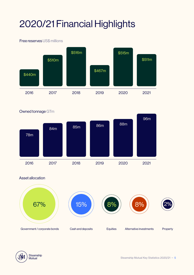# 2020/21 Financial Highlights

#### Free reserves US\$ millions



Owned tonnage GTm